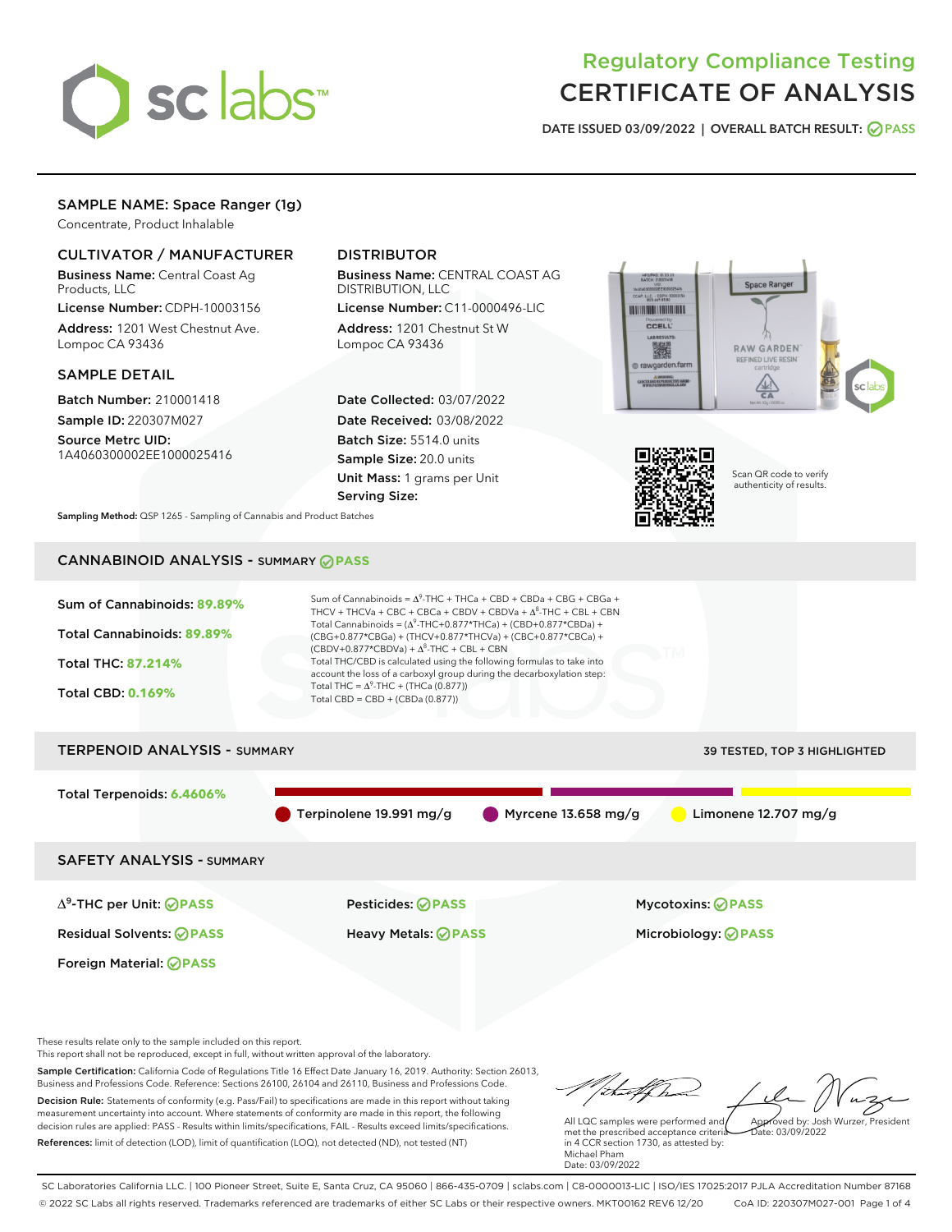

# Regulatory Compliance Testing CERTIFICATE OF ANALYSIS

DATE ISSUED 03/09/2022 | OVERALL BATCH RESULT: @ PASS

## SAMPLE NAME: Space Ranger (1g)

Concentrate, Product Inhalable

## CULTIVATOR / MANUFACTURER

Business Name: Central Coast Ag Products, LLC

License Number: CDPH-10003156 Address: 1201 West Chestnut Ave. Lompoc CA 93436

#### SAMPLE DETAIL

Batch Number: 210001418 Sample ID: 220307M027

Source Metrc UID: 1A4060300002EE1000025416

## DISTRIBUTOR

Business Name: CENTRAL COAST AG DISTRIBUTION, LLC

License Number: C11-0000496-LIC Address: 1201 Chestnut St W Lompoc CA 93436

Date Collected: 03/07/2022 Date Received: 03/08/2022 Batch Size: 5514.0 units Sample Size: 20.0 units Unit Mass: 1 grams per Unit Serving Size:





Scan QR code to verify authenticity of results.

Sampling Method: QSP 1265 - Sampling of Cannabis and Product Batches

## CANNABINOID ANALYSIS - SUMMARY **PASS**



This report shall not be reproduced, except in full, without written approval of the laboratory.

Sample Certification: California Code of Regulations Title 16 Effect Date January 16, 2019. Authority: Section 26013, Business and Professions Code. Reference: Sections 26100, 26104 and 26110, Business and Professions Code. Decision Rule: Statements of conformity (e.g. Pass/Fail) to specifications are made in this report without taking measurement uncertainty into account. Where statements of conformity are made in this report, the following decision rules are applied: PASS - Results within limits/specifications, FAIL - Results exceed limits/specifications.

References: limit of detection (LOD), limit of quantification (LOQ), not detected (ND), not tested (NT)

tal f(had Approved by: Josh Wurzer, President

 $ate: 03/09/2022$ 

All LQC samples were performed and met the prescribed acceptance criteria in 4 CCR section 1730, as attested by: Michael Pham Date: 03/09/2022

SC Laboratories California LLC. | 100 Pioneer Street, Suite E, Santa Cruz, CA 95060 | 866-435-0709 | sclabs.com | C8-0000013-LIC | ISO/IES 17025:2017 PJLA Accreditation Number 87168 © 2022 SC Labs all rights reserved. Trademarks referenced are trademarks of either SC Labs or their respective owners. MKT00162 REV6 12/20 CoA ID: 220307M027-001 Page 1 of 4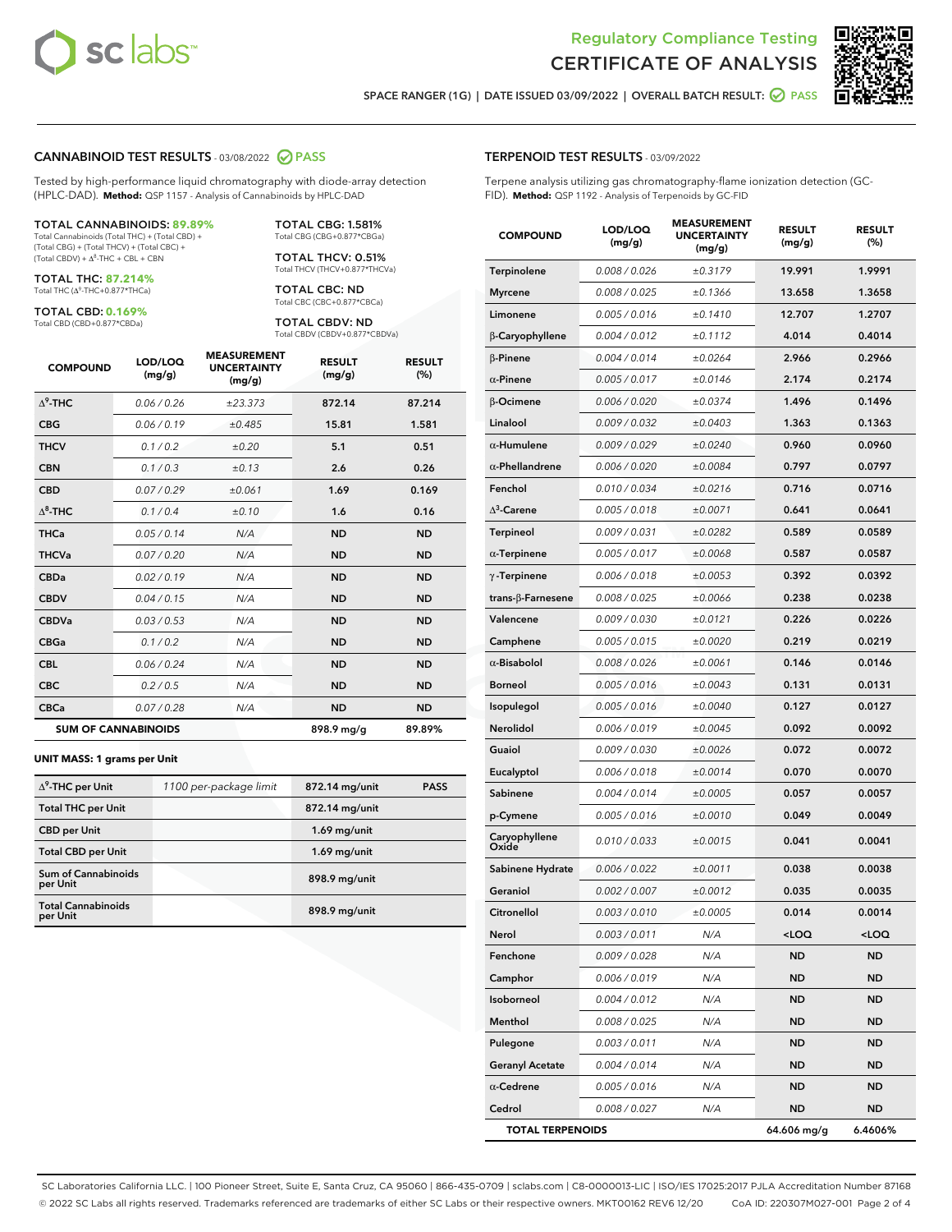



SPACE RANGER (1G) | DATE ISSUED 03/09/2022 | OVERALL BATCH RESULT: @ PASS

#### CANNABINOID TEST RESULTS - 03/08/2022 2 PASS

Tested by high-performance liquid chromatography with diode-array detection (HPLC-DAD). **Method:** QSP 1157 - Analysis of Cannabinoids by HPLC-DAD

#### TOTAL CANNABINOIDS: **89.89%**

Total Cannabinoids (Total THC) + (Total CBD) + (Total CBG) + (Total THCV) + (Total CBC) +  $(Total CBDV) +  $\Delta^8$ -THC + CBL + CBN$ 

TOTAL THC: **87.214%** Total THC (Δ<sup>9</sup>-THC+0.877\*THCa)

TOTAL CBD: **0.169%**

Total CBD (CBD+0.877\*CBDa)

TOTAL CBG: 1.581% Total CBG (CBG+0.877\*CBGa)

TOTAL THCV: 0.51% Total THCV (THCV+0.877\*THCVa)

TOTAL CBC: ND Total CBC (CBC+0.877\*CBCa)

TOTAL CBDV: ND Total CBDV (CBDV+0.877\*CBDVa)

| <b>COMPOUND</b>            | LOD/LOQ<br>(mg/g) | <b>MEASUREMENT</b><br><b>UNCERTAINTY</b><br>(mg/g) | <b>RESULT</b><br>(mg/g) | <b>RESULT</b><br>(%) |
|----------------------------|-------------------|----------------------------------------------------|-------------------------|----------------------|
| $\Lambda^9$ -THC           | 0.06 / 0.26       | ±23.373                                            | 872.14                  | 87.214               |
| <b>CBG</b>                 | 0.06 / 0.19       | ±0.485                                             | 15.81                   | 1.581                |
| <b>THCV</b>                | 0.1 / 0.2         | ±0.20                                              | 5.1                     | 0.51                 |
| <b>CBN</b>                 | 0.1/0.3           | ±0.13                                              | 2.6                     | 0.26                 |
| <b>CBD</b>                 | 0.07/0.29         | ±0.061                                             | 1.69                    | 0.169                |
| $\Delta^8$ -THC            | 0.1/0.4           | ±0.10                                              | 1.6                     | 0.16                 |
| <b>THCa</b>                | 0.05/0.14         | N/A                                                | <b>ND</b>               | <b>ND</b>            |
| <b>THCVa</b>               | 0.07/0.20         | N/A                                                | <b>ND</b>               | <b>ND</b>            |
| <b>CBDa</b>                | 0.02/0.19         | N/A                                                | <b>ND</b>               | <b>ND</b>            |
| <b>CBDV</b>                | 0.04 / 0.15       | N/A                                                | <b>ND</b>               | <b>ND</b>            |
| <b>CBDVa</b>               | 0.03/0.53         | N/A                                                | <b>ND</b>               | <b>ND</b>            |
| <b>CBGa</b>                | 0.1/0.2           | N/A                                                | <b>ND</b>               | <b>ND</b>            |
| <b>CBL</b>                 | 0.06 / 0.24       | N/A                                                | <b>ND</b>               | <b>ND</b>            |
| <b>CBC</b>                 | 0.2 / 0.5         | N/A                                                | <b>ND</b>               | <b>ND</b>            |
| <b>CBCa</b>                | 0.07 / 0.28       | N/A                                                | <b>ND</b>               | <b>ND</b>            |
| <b>SUM OF CANNABINOIDS</b> |                   |                                                    | 898.9 mg/g              | 89.89%               |

#### **UNIT MASS: 1 grams per Unit**

| $\Delta^9$ -THC per Unit               | 1100 per-package limit | 872.14 mg/unit | <b>PASS</b> |
|----------------------------------------|------------------------|----------------|-------------|
| <b>Total THC per Unit</b>              |                        | 872.14 mg/unit |             |
| <b>CBD</b> per Unit                    |                        | $1.69$ mg/unit |             |
| <b>Total CBD per Unit</b>              |                        | $1.69$ mg/unit |             |
| <b>Sum of Cannabinoids</b><br>per Unit |                        | 898.9 mg/unit  |             |
| <b>Total Cannabinoids</b><br>per Unit  |                        | 898.9 mg/unit  |             |

| <b>COMPOUND</b>         | LOD/LOQ<br>(mg/g) | AJUREIVII<br><b>UNCERTAINTY</b><br>(mg/g) | <b>RESULT</b><br>(mg/g)                         | <b>RESULT</b><br>(%) |
|-------------------------|-------------------|-------------------------------------------|-------------------------------------------------|----------------------|
| Terpinolene             | 0.008 / 0.026     | ±0.3179                                   | 19.991                                          | 1.9991               |
| <b>Myrcene</b>          | 0.008 / 0.025     | ±0.1366                                   | 13.658                                          | 1.3658               |
| Limonene                | 0.005 / 0.016     | ±0.1410                                   | 12.707                                          | 1.2707               |
| β-Caryophyllene         | 0.004 / 0.012     | ±0.1112                                   | 4.014                                           | 0.4014               |
| $\beta$ -Pinene         | 0.004 / 0.014     | ±0.0264                                   | 2.966                                           | 0.2966               |
| $\alpha$ -Pinene        | 0.005 / 0.017     | ±0.0146                                   | 2.174                                           | 0.2174               |
| β-Ocimene               | 0.006 / 0.020     | ±0.0374                                   | 1.496                                           | 0.1496               |
| Linalool                | 0.009 / 0.032     | ±0.0403                                   | 1.363                                           | 0.1363               |
| $\alpha$ -Humulene      | 0.009/0.029       | ±0.0240                                   | 0.960                                           | 0.0960               |
| $\alpha$ -Phellandrene  | 0.006 / 0.020     | ±0.0084                                   | 0.797                                           | 0.0797               |
| Fenchol                 | 0.010 / 0.034     | ±0.0216                                   | 0.716                                           | 0.0716               |
| $\Delta^3$ -Carene      | 0.005 / 0.018     | ±0.0071                                   | 0.641                                           | 0.0641               |
| <b>Terpineol</b>        | 0.009 / 0.031     | ±0.0282                                   | 0.589                                           | 0.0589               |
| $\alpha$ -Terpinene     | 0.005 / 0.017     | ±0.0068                                   | 0.587                                           | 0.0587               |
| $\gamma$ -Terpinene     | 0.006 / 0.018     | ±0.0053                                   | 0.392                                           | 0.0392               |
| trans-ß-Farnesene       | 0.008 / 0.025     | ±0.0066                                   | 0.238                                           | 0.0238               |
| Valencene               | 0.009 / 0.030     | ±0.0121                                   | 0.226                                           | 0.0226               |
| Camphene                | 0.005 / 0.015     | ±0.0020                                   | 0.219                                           | 0.0219               |
| $\alpha$ -Bisabolol     | 0.008 / 0.026     | ±0.0061                                   | 0.146                                           | 0.0146               |
| Borneol                 | 0.005 / 0.016     | ±0.0043                                   | 0.131                                           | 0.0131               |
| Isopulegol              | 0.005 / 0.016     | ±0.0040                                   | 0.127                                           | 0.0127               |
| Nerolidol               | 0.006 / 0.019     | ±0.0045                                   | 0.092                                           | 0.0092               |
| Guaiol                  | 0.009 / 0.030     | ±0.0026                                   | 0.072                                           | 0.0072               |
| Eucalyptol              | 0.006 / 0.018     | ±0.0014                                   | 0.070                                           | 0.0070               |
| Sabinene                | 0.004 / 0.014     | ±0.0005                                   | 0.057                                           | 0.0057               |
| p-Cymene                | 0.005 / 0.016     | ±0.0010                                   | 0.049                                           | 0.0049               |
| Caryophyllene<br>Oxide  | 0.010 / 0.033     | ±0.0015                                   | 0.041                                           | 0.0041               |
| Sabinene Hydrate        | 0.006 / 0.022     | ±0.0011                                   | 0.038                                           | 0.0038               |
| Geraniol                | 0.002 / 0.007     | ±0.0012                                   | 0.035                                           | 0.0035               |
| Citronellol             | 0.003 / 0.010     | ±0.0005                                   | 0.014                                           | 0.0014               |
| Nerol                   | 0.003 / 0.011     | N/A                                       | <loq< th=""><th><loq< th=""></loq<></th></loq<> | <loq< th=""></loq<>  |
| Fenchone                | 0.009 / 0.028     | N/A                                       | ND                                              | ND                   |
| Camphor                 | 0.006 / 0.019     | N/A                                       | <b>ND</b>                                       | ND                   |
| Isoborneol              | 0.004 / 0.012     | N/A                                       | ND                                              | ND                   |
| Menthol                 | 0.008 / 0.025     | N/A                                       | ND                                              | ND                   |
| Pulegone                | 0.003 / 0.011     | N/A                                       | ND                                              | ND                   |
| <b>Geranyl Acetate</b>  | 0.004 / 0.014     | N/A                                       | ND                                              | ND                   |
| $\alpha$ -Cedrene       | 0.005 / 0.016     | N/A                                       | ND                                              | ND                   |
| Cedrol                  | 0.008 / 0.027     | N/A                                       | ND                                              | ND                   |
| <b>TOTAL TERPENOIDS</b> |                   |                                           | 64.606 mg/g                                     | 6.4606%              |

SC Laboratories California LLC. | 100 Pioneer Street, Suite E, Santa Cruz, CA 95060 | 866-435-0709 | sclabs.com | C8-0000013-LIC | ISO/IES 17025:2017 PJLA Accreditation Number 87168 © 2022 SC Labs all rights reserved. Trademarks referenced are trademarks of either SC Labs or their respective owners. MKT00162 REV6 12/20 CoA ID: 220307M027-001 Page 2 of 4

## TERPENOID TEST RESULTS - 03/09/2022

Terpene analysis utilizing gas chromatography-flame ionization detection (GC-FID). **Method:** QSP 1192 - Analysis of Terpenoids by GC-FID

MEACUREMENT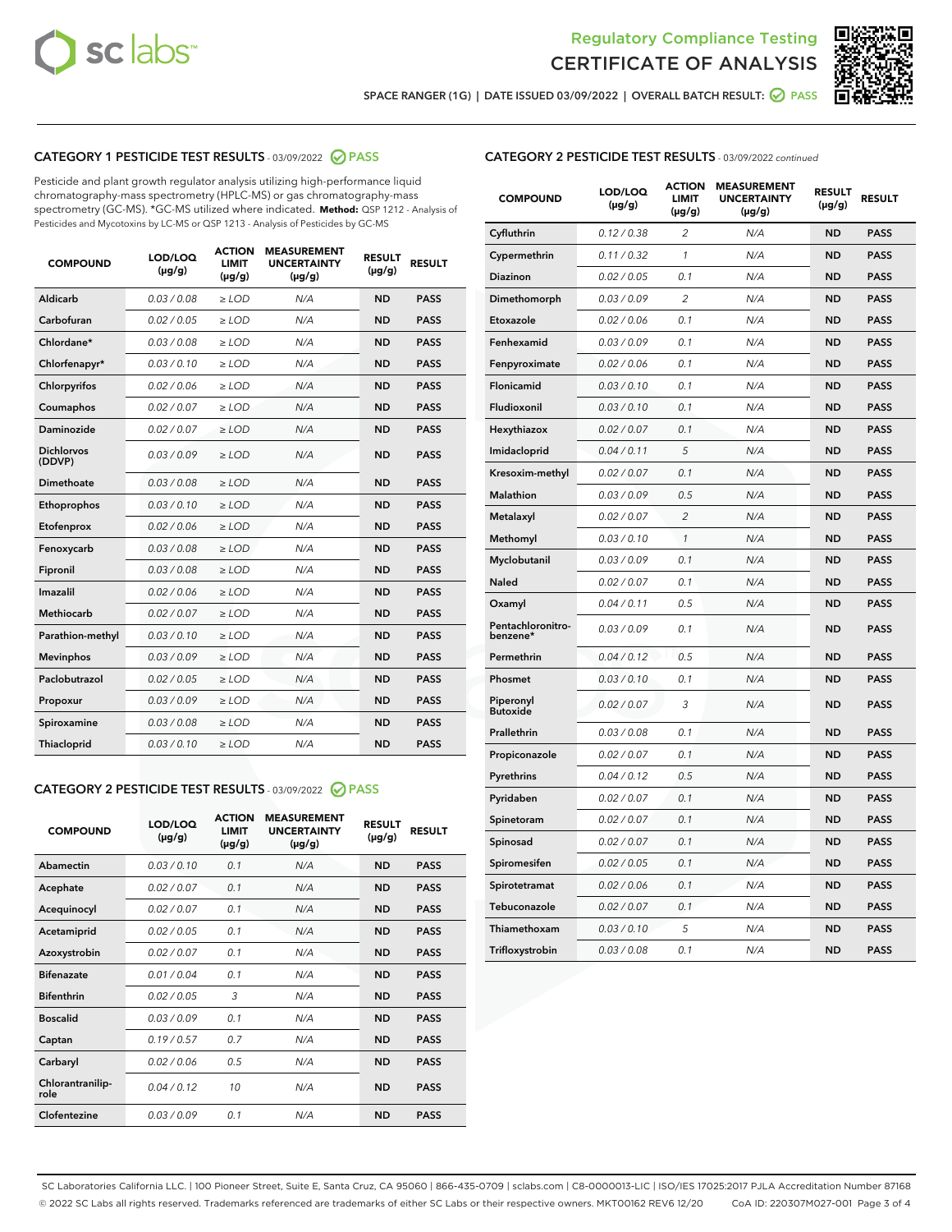



SPACE RANGER (1G) | DATE ISSUED 03/09/2022 | OVERALL BATCH RESULT: 2 PASS

## CATEGORY 1 PESTICIDE TEST RESULTS - 03/09/2022 2 PASS

Pesticide and plant growth regulator analysis utilizing high-performance liquid chromatography-mass spectrometry (HPLC-MS) or gas chromatography-mass spectrometry (GC-MS). \*GC-MS utilized where indicated. **Method:** QSP 1212 - Analysis of Pesticides and Mycotoxins by LC-MS or QSP 1213 - Analysis of Pesticides by GC-MS

| 0.03 / 0.08<br>Aldicarb<br>$\ge$ LOD<br><b>ND</b><br><b>PASS</b><br>N/A<br>Carbofuran<br>0.02 / 0.05<br>$\ge$ LOD<br>N/A<br><b>ND</b><br><b>PASS</b><br>Chlordane*<br>0.03 / 0.08<br>N/A<br><b>ND</b><br><b>PASS</b><br>$\ge$ LOD<br>Chlorfenapyr*<br>0.03/0.10<br>N/A<br><b>ND</b><br><b>PASS</b><br>$\ge$ LOD<br>0.02/0.06<br>$>$ LOD<br>N/A<br><b>ND</b><br><b>PASS</b><br>Chlorpyrifos<br>Coumaphos<br>0.02 / 0.07<br>$\ge$ LOD<br>N/A<br><b>ND</b><br><b>PASS</b><br>Daminozide<br>0.02 / 0.07<br>$\ge$ LOD<br>N/A<br><b>ND</b><br><b>PASS</b><br><b>Dichlorvos</b><br>0.03/0.09<br>$\ge$ LOD<br>N/A<br><b>ND</b><br><b>PASS</b><br>(DDVP)<br><b>Dimethoate</b><br>0.03 / 0.08<br>N/A<br><b>ND</b><br><b>PASS</b><br>$\ge$ LOD<br>0.03/0.10<br><b>ND</b><br><b>PASS</b><br>Ethoprophos<br>$\ge$ LOD<br>N/A<br>0.02 / 0.06<br><b>PASS</b><br>Etofenprox<br>$\ge$ LOD<br>N/A<br><b>ND</b><br>0.03/0.08<br>N/A<br><b>ND</b><br><b>PASS</b><br>Fenoxycarb<br>$>$ LOD<br>0.03 / 0.08<br><b>ND</b><br>Fipronil<br>$\ge$ LOD<br>N/A<br><b>PASS</b><br>Imazalil<br>0.02 / 0.06<br>N/A<br><b>ND</b><br>$\ge$ LOD<br><b>PASS</b><br><b>Methiocarb</b><br>0.02 / 0.07<br>$\ge$ LOD<br>N/A<br><b>ND</b><br><b>PASS</b><br>N/A<br><b>ND</b><br><b>PASS</b><br>Parathion-methyl<br>0.03/0.10<br>$\ge$ LOD<br>0.03/0.09<br>N/A<br><b>PASS</b><br>$\ge$ LOD<br><b>ND</b><br><b>Mevinphos</b><br>Paclobutrazol<br>0.02 / 0.05<br>N/A<br><b>ND</b><br><b>PASS</b><br>$\ge$ LOD<br>0.03/0.09<br>N/A<br><b>ND</b><br>$\ge$ LOD<br><b>PASS</b><br>Propoxur<br>0.03 / 0.08<br>N/A<br><b>ND</b><br><b>PASS</b><br>Spiroxamine<br>$>$ LOD<br>0.03/0.10<br><b>ND</b><br><b>PASS</b><br>Thiacloprid<br>$\ge$ LOD<br>N/A | <b>COMPOUND</b> | LOD/LOQ<br>$(\mu g/g)$ | <b>ACTION</b><br><b>LIMIT</b><br>$(\mu g/g)$ | <b>MEASUREMENT</b><br><b>UNCERTAINTY</b><br>$(\mu g/g)$ | <b>RESULT</b><br>$(\mu g/g)$ | <b>RESULT</b> |
|----------------------------------------------------------------------------------------------------------------------------------------------------------------------------------------------------------------------------------------------------------------------------------------------------------------------------------------------------------------------------------------------------------------------------------------------------------------------------------------------------------------------------------------------------------------------------------------------------------------------------------------------------------------------------------------------------------------------------------------------------------------------------------------------------------------------------------------------------------------------------------------------------------------------------------------------------------------------------------------------------------------------------------------------------------------------------------------------------------------------------------------------------------------------------------------------------------------------------------------------------------------------------------------------------------------------------------------------------------------------------------------------------------------------------------------------------------------------------------------------------------------------------------------------------------------------------------------------------------------------------------------------------------------------------------------------------|-----------------|------------------------|----------------------------------------------|---------------------------------------------------------|------------------------------|---------------|
|                                                                                                                                                                                                                                                                                                                                                                                                                                                                                                                                                                                                                                                                                                                                                                                                                                                                                                                                                                                                                                                                                                                                                                                                                                                                                                                                                                                                                                                                                                                                                                                                                                                                                                    |                 |                        |                                              |                                                         |                              |               |
|                                                                                                                                                                                                                                                                                                                                                                                                                                                                                                                                                                                                                                                                                                                                                                                                                                                                                                                                                                                                                                                                                                                                                                                                                                                                                                                                                                                                                                                                                                                                                                                                                                                                                                    |                 |                        |                                              |                                                         |                              |               |
|                                                                                                                                                                                                                                                                                                                                                                                                                                                                                                                                                                                                                                                                                                                                                                                                                                                                                                                                                                                                                                                                                                                                                                                                                                                                                                                                                                                                                                                                                                                                                                                                                                                                                                    |                 |                        |                                              |                                                         |                              |               |
|                                                                                                                                                                                                                                                                                                                                                                                                                                                                                                                                                                                                                                                                                                                                                                                                                                                                                                                                                                                                                                                                                                                                                                                                                                                                                                                                                                                                                                                                                                                                                                                                                                                                                                    |                 |                        |                                              |                                                         |                              |               |
|                                                                                                                                                                                                                                                                                                                                                                                                                                                                                                                                                                                                                                                                                                                                                                                                                                                                                                                                                                                                                                                                                                                                                                                                                                                                                                                                                                                                                                                                                                                                                                                                                                                                                                    |                 |                        |                                              |                                                         |                              |               |
|                                                                                                                                                                                                                                                                                                                                                                                                                                                                                                                                                                                                                                                                                                                                                                                                                                                                                                                                                                                                                                                                                                                                                                                                                                                                                                                                                                                                                                                                                                                                                                                                                                                                                                    |                 |                        |                                              |                                                         |                              |               |
|                                                                                                                                                                                                                                                                                                                                                                                                                                                                                                                                                                                                                                                                                                                                                                                                                                                                                                                                                                                                                                                                                                                                                                                                                                                                                                                                                                                                                                                                                                                                                                                                                                                                                                    |                 |                        |                                              |                                                         |                              |               |
|                                                                                                                                                                                                                                                                                                                                                                                                                                                                                                                                                                                                                                                                                                                                                                                                                                                                                                                                                                                                                                                                                                                                                                                                                                                                                                                                                                                                                                                                                                                                                                                                                                                                                                    |                 |                        |                                              |                                                         |                              |               |
|                                                                                                                                                                                                                                                                                                                                                                                                                                                                                                                                                                                                                                                                                                                                                                                                                                                                                                                                                                                                                                                                                                                                                                                                                                                                                                                                                                                                                                                                                                                                                                                                                                                                                                    |                 |                        |                                              |                                                         |                              |               |
|                                                                                                                                                                                                                                                                                                                                                                                                                                                                                                                                                                                                                                                                                                                                                                                                                                                                                                                                                                                                                                                                                                                                                                                                                                                                                                                                                                                                                                                                                                                                                                                                                                                                                                    |                 |                        |                                              |                                                         |                              |               |
|                                                                                                                                                                                                                                                                                                                                                                                                                                                                                                                                                                                                                                                                                                                                                                                                                                                                                                                                                                                                                                                                                                                                                                                                                                                                                                                                                                                                                                                                                                                                                                                                                                                                                                    |                 |                        |                                              |                                                         |                              |               |
|                                                                                                                                                                                                                                                                                                                                                                                                                                                                                                                                                                                                                                                                                                                                                                                                                                                                                                                                                                                                                                                                                                                                                                                                                                                                                                                                                                                                                                                                                                                                                                                                                                                                                                    |                 |                        |                                              |                                                         |                              |               |
|                                                                                                                                                                                                                                                                                                                                                                                                                                                                                                                                                                                                                                                                                                                                                                                                                                                                                                                                                                                                                                                                                                                                                                                                                                                                                                                                                                                                                                                                                                                                                                                                                                                                                                    |                 |                        |                                              |                                                         |                              |               |
|                                                                                                                                                                                                                                                                                                                                                                                                                                                                                                                                                                                                                                                                                                                                                                                                                                                                                                                                                                                                                                                                                                                                                                                                                                                                                                                                                                                                                                                                                                                                                                                                                                                                                                    |                 |                        |                                              |                                                         |                              |               |
|                                                                                                                                                                                                                                                                                                                                                                                                                                                                                                                                                                                                                                                                                                                                                                                                                                                                                                                                                                                                                                                                                                                                                                                                                                                                                                                                                                                                                                                                                                                                                                                                                                                                                                    |                 |                        |                                              |                                                         |                              |               |
|                                                                                                                                                                                                                                                                                                                                                                                                                                                                                                                                                                                                                                                                                                                                                                                                                                                                                                                                                                                                                                                                                                                                                                                                                                                                                                                                                                                                                                                                                                                                                                                                                                                                                                    |                 |                        |                                              |                                                         |                              |               |
|                                                                                                                                                                                                                                                                                                                                                                                                                                                                                                                                                                                                                                                                                                                                                                                                                                                                                                                                                                                                                                                                                                                                                                                                                                                                                                                                                                                                                                                                                                                                                                                                                                                                                                    |                 |                        |                                              |                                                         |                              |               |
|                                                                                                                                                                                                                                                                                                                                                                                                                                                                                                                                                                                                                                                                                                                                                                                                                                                                                                                                                                                                                                                                                                                                                                                                                                                                                                                                                                                                                                                                                                                                                                                                                                                                                                    |                 |                        |                                              |                                                         |                              |               |
|                                                                                                                                                                                                                                                                                                                                                                                                                                                                                                                                                                                                                                                                                                                                                                                                                                                                                                                                                                                                                                                                                                                                                                                                                                                                                                                                                                                                                                                                                                                                                                                                                                                                                                    |                 |                        |                                              |                                                         |                              |               |
|                                                                                                                                                                                                                                                                                                                                                                                                                                                                                                                                                                                                                                                                                                                                                                                                                                                                                                                                                                                                                                                                                                                                                                                                                                                                                                                                                                                                                                                                                                                                                                                                                                                                                                    |                 |                        |                                              |                                                         |                              |               |
|                                                                                                                                                                                                                                                                                                                                                                                                                                                                                                                                                                                                                                                                                                                                                                                                                                                                                                                                                                                                                                                                                                                                                                                                                                                                                                                                                                                                                                                                                                                                                                                                                                                                                                    |                 |                        |                                              |                                                         |                              |               |

## CATEGORY 2 PESTICIDE TEST RESULTS - 03/09/2022 2 PASS

| <b>COMPOUND</b>          | LOD/LOO<br>$(\mu g/g)$ | <b>ACTION</b><br><b>LIMIT</b><br>(µg/g) | <b>MEASUREMENT</b><br><b>UNCERTAINTY</b><br>$(\mu g/g)$ | <b>RESULT</b><br>$(\mu g/g)$ | <b>RESULT</b> |  |
|--------------------------|------------------------|-----------------------------------------|---------------------------------------------------------|------------------------------|---------------|--|
| Abamectin                | 0.03/0.10              | 0.1                                     | N/A                                                     | <b>ND</b>                    | <b>PASS</b>   |  |
| Acephate                 | 0.02/0.07              | 0.1                                     | N/A                                                     | <b>ND</b>                    | <b>PASS</b>   |  |
| Acequinocyl              | 0.02/0.07              | 0.1                                     | N/A                                                     | <b>ND</b>                    | <b>PASS</b>   |  |
| Acetamiprid              | 0.02/0.05              | 0.1                                     | N/A                                                     | <b>ND</b>                    | <b>PASS</b>   |  |
| Azoxystrobin             | 0.02/0.07              | 0.1                                     | N/A                                                     | <b>ND</b>                    | <b>PASS</b>   |  |
| <b>Bifenazate</b>        | 0.01/0.04              | 0.1                                     | N/A                                                     | <b>ND</b>                    | <b>PASS</b>   |  |
| <b>Bifenthrin</b>        | 0.02/0.05              | 3                                       | N/A                                                     | <b>ND</b>                    | <b>PASS</b>   |  |
| <b>Boscalid</b>          | 0.03/0.09              | 0.1                                     | N/A                                                     | <b>ND</b>                    | <b>PASS</b>   |  |
| Captan                   | 0.19/0.57              | 0.7                                     | N/A                                                     | <b>ND</b>                    | <b>PASS</b>   |  |
| Carbaryl                 | 0.02/0.06              | 0.5                                     | N/A                                                     | <b>ND</b>                    | <b>PASS</b>   |  |
| Chlorantranilip-<br>role | 0.04/0.12              | 10                                      | N/A                                                     | <b>ND</b>                    | <b>PASS</b>   |  |
| Clofentezine             | 0.03/0.09              | 0.1                                     | N/A                                                     | <b>ND</b>                    | <b>PASS</b>   |  |

## CATEGORY 2 PESTICIDE TEST RESULTS - 03/09/2022 continued

| <b>COMPOUND</b>               | LOD/LOQ<br>(µg/g) | <b>ACTION</b><br>LIMIT<br>$(\mu g/g)$ | <b>MEASUREMENT</b><br><b>UNCERTAINTY</b><br>$(\mu g/g)$ | <b>RESULT</b><br>(µg/g) | <b>RESULT</b> |
|-------------------------------|-------------------|---------------------------------------|---------------------------------------------------------|-------------------------|---------------|
| Cyfluthrin                    | 0.12 / 0.38       | 2                                     | N/A                                                     | ND                      | <b>PASS</b>   |
| Cypermethrin                  | 0.11 / 0.32       | 1                                     | N/A                                                     | ND                      | <b>PASS</b>   |
| Diazinon                      | 0.02 / 0.05       | 0.1                                   | N/A                                                     | ND                      | <b>PASS</b>   |
| Dimethomorph                  | 0.03 / 0.09       | $\overline{2}$                        | N/A                                                     | <b>ND</b>               | <b>PASS</b>   |
| Etoxazole                     | 0.02 / 0.06       | 0.1                                   | N/A                                                     | ND                      | <b>PASS</b>   |
| Fenhexamid                    | 0.03 / 0.09       | 0.1                                   | N/A                                                     | ND                      | <b>PASS</b>   |
| Fenpyroximate                 | 0.02 / 0.06       | 0.1                                   | N/A                                                     | ND                      | <b>PASS</b>   |
| Flonicamid                    | 0.03 / 0.10       | 0.1                                   | N/A                                                     | <b>ND</b>               | <b>PASS</b>   |
| Fludioxonil                   | 0.03 / 0.10       | 0.1                                   | N/A                                                     | ND                      | <b>PASS</b>   |
| Hexythiazox                   | 0.02 / 0.07       | 0.1                                   | N/A                                                     | <b>ND</b>               | <b>PASS</b>   |
| Imidacloprid                  | 0.04 / 0.11       | 5                                     | N/A                                                     | <b>ND</b>               | <b>PASS</b>   |
| Kresoxim-methyl               | 0.02 / 0.07       | 0.1                                   | N/A                                                     | ND                      | <b>PASS</b>   |
| Malathion                     | 0.03 / 0.09       | 0.5                                   | N/A                                                     | <b>ND</b>               | <b>PASS</b>   |
| Metalaxyl                     | 0.02 / 0.07       | $\overline{c}$                        | N/A                                                     | <b>ND</b>               | <b>PASS</b>   |
| Methomyl                      | 0.03 / 0.10       | $\mathcal{I}$                         | N/A                                                     | ND                      | <b>PASS</b>   |
| Myclobutanil                  | 0.03 / 0.09       | 0.1                                   | N/A                                                     | <b>ND</b>               | <b>PASS</b>   |
| Naled                         | 0.02 / 0.07       | 0.1                                   | N/A                                                     | <b>ND</b>               | <b>PASS</b>   |
| Oxamyl                        | 0.04 / 0.11       | 0.5                                   | N/A                                                     | ND                      | <b>PASS</b>   |
| Pentachloronitro-<br>benzene* | 0.03 / 0.09       | 0.1                                   | N/A                                                     | <b>ND</b>               | <b>PASS</b>   |
| Permethrin                    | 0.04 / 0.12       | 0.5                                   | N/A                                                     | <b>ND</b>               | <b>PASS</b>   |
| Phosmet                       | 0.03 / 0.10       | 0.1                                   | N/A                                                     | ND                      | <b>PASS</b>   |
| Piperonyl<br><b>Butoxide</b>  | 0.02 / 0.07       | 3                                     | N/A                                                     | <b>ND</b>               | <b>PASS</b>   |
| Prallethrin                   | 0.03 / 0.08       | 0.1                                   | N/A                                                     | <b>ND</b>               | <b>PASS</b>   |
| Propiconazole                 | 0.02 / 0.07       | 0.1                                   | N/A                                                     | ND                      | <b>PASS</b>   |
| Pyrethrins                    | 0.04 / 0.12       | 0.5                                   | N/A                                                     | ND                      | <b>PASS</b>   |
| Pyridaben                     | 0.02 / 0.07       | 0.1                                   | N/A                                                     | <b>ND</b>               | <b>PASS</b>   |
| Spinetoram                    | 0.02 / 0.07       | 0.1                                   | N/A                                                     | ND                      | <b>PASS</b>   |
| Spinosad                      | 0.02 / 0.07       | 0.1                                   | N/A                                                     | <b>ND</b>               | <b>PASS</b>   |
| Spiromesifen                  | 0.02 / 0.05       | 0.1                                   | N/A                                                     | ND                      | <b>PASS</b>   |
| Spirotetramat                 | 0.02 / 0.06       | 0.1                                   | N/A                                                     | ND                      | <b>PASS</b>   |
| Tebuconazole                  | 0.02 / 0.07       | 0.1                                   | N/A                                                     | <b>ND</b>               | <b>PASS</b>   |
| Thiamethoxam                  | 0.03/0.10         | 5                                     | N/A                                                     | ND                      | <b>PASS</b>   |
| Trifloxystrobin               | 0.03 / 0.08       | 0.1                                   | N/A                                                     | <b>ND</b>               | <b>PASS</b>   |

SC Laboratories California LLC. | 100 Pioneer Street, Suite E, Santa Cruz, CA 95060 | 866-435-0709 | sclabs.com | C8-0000013-LIC | ISO/IES 17025:2017 PJLA Accreditation Number 87168 © 2022 SC Labs all rights reserved. Trademarks referenced are trademarks of either SC Labs or their respective owners. MKT00162 REV6 12/20 CoA ID: 220307M027-001 Page 3 of 4